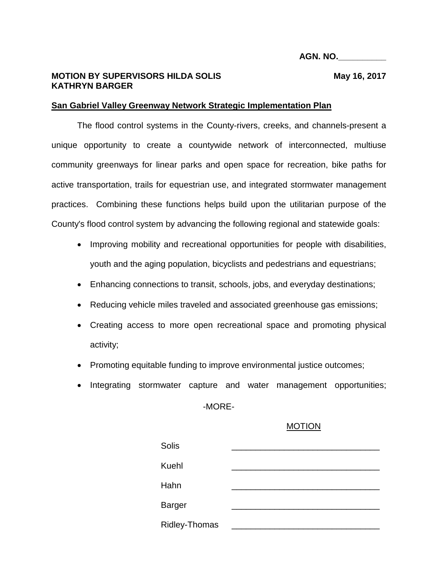## **MOTION BY SUPERVISORS HILDA SOLIS MAGE 18 May 16, 2017 KATHRYN BARGER**

## **San Gabriel Valley Greenway Network Strategic Implementation Plan**

The flood control systems in the County-rivers, creeks, and channels-present a unique opportunity to create a countywide network of interconnected, multiuse community greenways for linear parks and open space for recreation, bike paths for active transportation, trails for equestrian use, and integrated stormwater management practices. Combining these functions helps build upon the utilitarian purpose of the County's flood control system by advancing the following regional and statewide goals:

- Improving mobility and recreational opportunities for people with disabilities, youth and the aging population, bicyclists and pedestrians and equestrians;
- Enhancing connections to transit, schools, jobs, and everyday destinations;
- Reducing vehicle miles traveled and associated greenhouse gas emissions;
- Creating access to more open recreational space and promoting physical activity;
- Promoting equitable funding to improve environmental justice outcomes;
- Integrating stormwater capture and water management opportunities;

-MORE-

## MOTION

| <b>Solis</b>         |  |
|----------------------|--|
| <b>Kuehl</b>         |  |
| Hahn                 |  |
| <b>Barger</b>        |  |
| <b>Ridley-Thomas</b> |  |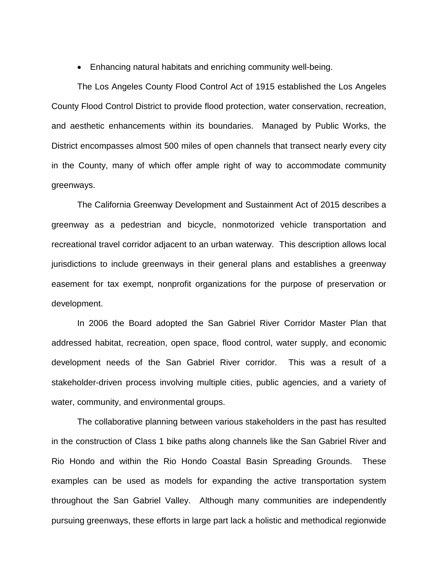• Enhancing natural habitats and enriching community well-being.

The Los Angeles County Flood Control Act of 1915 established the Los Angeles County Flood Control District to provide flood protection, water conservation, recreation, and aesthetic enhancements within its boundaries. Managed by Public Works, the District encompasses almost 500 miles of open channels that transect nearly every city in the County, many of which offer ample right of way to accommodate community greenways.

The California Greenway Development and Sustainment Act of 2015 describes a greenway as a pedestrian and bicycle, nonmotorized vehicle transportation and recreational travel corridor adjacent to an urban waterway. This description allows local jurisdictions to include greenways in their general plans and establishes a greenway easement for tax exempt, nonprofit organizations for the purpose of preservation or development.

In 2006 the Board adopted the San Gabriel River Corridor Master Plan that addressed habitat, recreation, open space, flood control, water supply, and economic development needs of the San Gabriel River corridor. This was a result of a stakeholder-driven process involving multiple cities, public agencies, and a variety of water, community, and environmental groups.

The collaborative planning between various stakeholders in the past has resulted in the construction of Class 1 bike paths along channels like the San Gabriel River and Rio Hondo and within the Rio Hondo Coastal Basin Spreading Grounds. These examples can be used as models for expanding the active transportation system throughout the San Gabriel Valley. Although many communities are independently pursuing greenways, these efforts in large part lack a holistic and methodical regionwide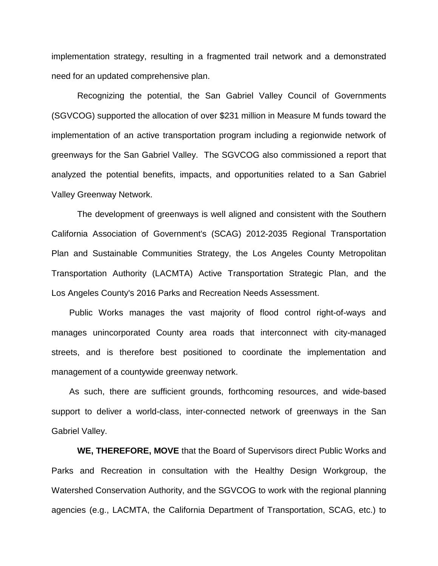implementation strategy, resulting in a fragmented trail network and a demonstrated need for an updated comprehensive plan.

Recognizing the potential, the San Gabriel Valley Council of Governments (SGVCOG) supported the allocation of over \$231 million in Measure M funds toward the implementation of an active transportation program including a regionwide network of greenways for the San Gabriel Valley. The SGVCOG also commissioned a report that analyzed the potential benefits, impacts, and opportunities related to a San Gabriel Valley Greenway Network.

The development of greenways is well aligned and consistent with the Southern California Association of Government's (SCAG) 2012-2035 Regional Transportation Plan and Sustainable Communities Strategy, the Los Angeles County Metropolitan Transportation Authority (LACMTA) Active Transportation Strategic Plan, and the Los Angeles County's 2016 Parks and Recreation Needs Assessment.

Public Works manages the vast majority of flood control right-of-ways and manages unincorporated County area roads that interconnect with city-managed streets, and is therefore best positioned to coordinate the implementation and management of a countywide greenway network.

As such, there are sufficient grounds, forthcoming resources, and wide-based support to deliver a world-class, inter-connected network of greenways in the San Gabriel Valley.

**WE, THEREFORE, MOVE** that the Board of Supervisors direct Public Works and Parks and Recreation in consultation with the Healthy Design Workgroup, the Watershed Conservation Authority, and the SGVCOG to work with the regional planning agencies (e.g., LACMTA, the California Department of Transportation, SCAG, etc.) to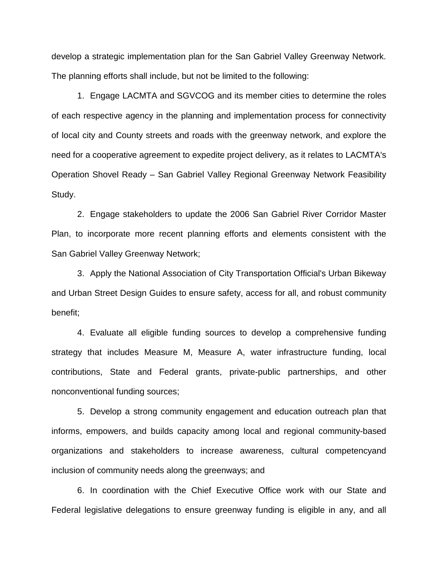develop a strategic implementation plan for the San Gabriel Valley Greenway Network. The planning efforts shall include, but not be limited to the following:

1. Engage LACMTA and SGVCOG and its member cities to determine the roles of each respective agency in the planning and implementation process for connectivity of local city and County streets and roads with the greenway network, and explore the need for a cooperative agreement to expedite project delivery, as it relates to LACMTA's Operation Shovel Ready – San Gabriel Valley Regional Greenway Network Feasibility Study.

2. Engage stakeholders to update the 2006 San Gabriel River Corridor Master Plan, to incorporate more recent planning efforts and elements consistent with the San Gabriel Valley Greenway Network;

3. Apply the National Association of City Transportation Official's Urban Bikeway and Urban Street Design Guides to ensure safety, access for all, and robust community benefit;

4. Evaluate all eligible funding sources to develop a comprehensive funding strategy that includes Measure M, Measure A, water infrastructure funding, local contributions, State and Federal grants, private-public partnerships, and other nonconventional funding sources;

5. Develop a strong community engagement and education outreach plan that informs, empowers, and builds capacity among local and regional community-based organizations and stakeholders to increase awareness, cultural competencyand inclusion of community needs along the greenways; and

6. In coordination with the Chief Executive Office work with our State and Federal legislative delegations to ensure greenway funding is eligible in any, and all